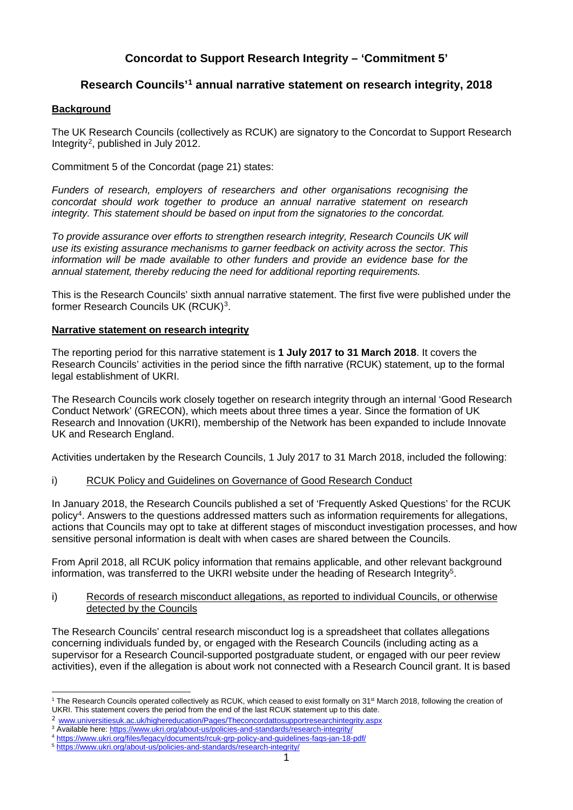# **Concordat to Support Research Integrity – 'Commitment 5'**

## **Research Councils'[1](#page-0-0) annual narrative statement on research integrity, 2018**

## **Background**

The UK Research Councils (collectively as RCUK) are signatory to the Concordat to Support Research Integrity[2,](#page-0-1) published in July 2012.

Commitment 5 of the Concordat (page 21) states:

*Funders of research, employers of researchers and other organisations recognising the concordat should work together to produce an annual narrative statement on research integrity. This statement should be based on input from the signatories to the concordat.*

*To provide assurance over efforts to strengthen research integrity, Research Councils UK will use its existing assurance mechanisms to garner feedback on activity across the sector. This information will be made available to other funders and provide an evidence base for the annual statement, thereby reducing the need for additional reporting requirements.*

This is the Research Councils' sixth annual narrative statement. The first five were published under the former Research Councils UK (RCUK)[3.](#page-0-2)

### **Narrative statement on research integrity**

The reporting period for this narrative statement is **1 July 2017 to 31 March 2018**. It covers the Research Councils' activities in the period since the fifth narrative (RCUK) statement, up to the formal legal establishment of UKRI.

The Research Councils work closely together on research integrity through an internal 'Good Research Conduct Network' (GRECON), which meets about three times a year. Since the formation of UK Research and Innovation (UKRI), membership of the Network has been expanded to include Innovate UK and Research England.

Activities undertaken by the Research Councils, 1 July 2017 to 31 March 2018, included the following:

## i) RCUK Policy and Guidelines on Governance of Good Research Conduct

In January 2018, the Research Councils published a set of 'Frequently Asked Questions' for the RCUK policy[4](#page-0-3). Answers to the questions addressed matters such as information requirements for allegations, actions that Councils may opt to take at different stages of misconduct investigation processes, and how sensitive personal information is dealt with when cases are shared between the Councils.

From April 2018, all RCUK policy information that remains applicable, and other relevant background information, was transferred to the UKRI website under the heading of Research Integrity<sup>5</sup>.

#### i) Records of research misconduct allegations, as reported to individual Councils, or otherwise detected by the Councils

The Research Councils' central research misconduct log is a spreadsheet that collates allegations concerning individuals funded by, or engaged with the Research Councils (including acting as a supervisor for a Research Council-supported postgraduate student, or engaged with our peer review activities), even if the allegation is about work not connected with a Research Council grant. It is based

<span id="page-0-0"></span><sup>&</sup>lt;sup>1</sup> The Research Councils operated collectively as RCUK, which ceased to exist formally on  $31<sup>st</sup>$  March 2018, following the creation of UKRI. This statement covers the period from the end of the last RCUK statement up to this date.

<sup>2</sup> [www.universitiesuk.ac.uk/highereducation/Pages/Theconcordattosupportresearchintegrity.aspx](http://www.universitiesuk.ac.uk/highereducation/Pages/Theconcordattosupportresearchintegrity.aspx)

<span id="page-0-3"></span><span id="page-0-2"></span><span id="page-0-1"></span><sup>&</sup>lt;sup>3</sup> Available here:<https://www.ukri.org/about-us/policies-and-standards/research-integrity/>

<sup>4</sup> <https://www.ukri.org/files/legacy/documents/rcuk-grp-policy-and-guidelines-faqs-jan-18-pdf/>

<span id="page-0-4"></span><sup>5</sup> <https://www.ukri.org/about-us/policies-and-standards/research-integrity/>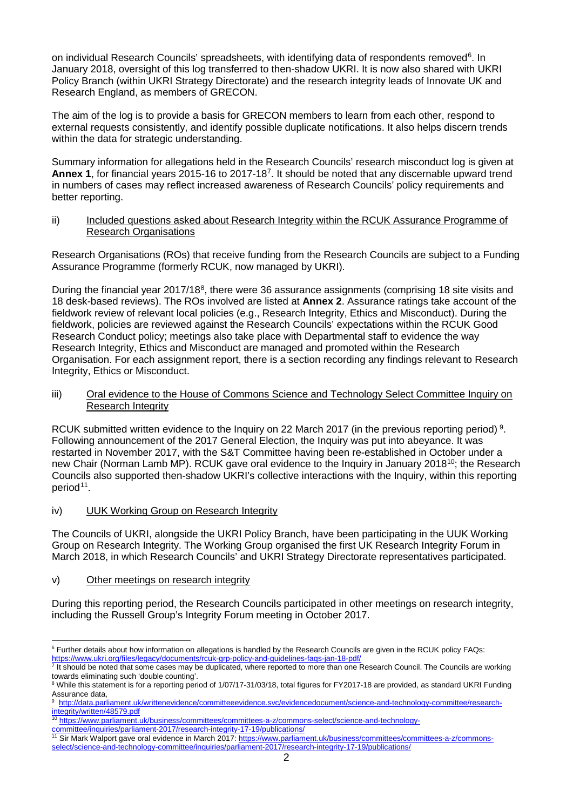on individual Research Councils' spreadsheets, with identifying data of respondents removed<sup>[6](#page-1-0)</sup>. In January 2018, oversight of this log transferred to then-shadow UKRI. It is now also shared with UKRI Policy Branch (within UKRI Strategy Directorate) and the research integrity leads of Innovate UK and Research England, as members of GRECON.

The aim of the log is to provide a basis for GRECON members to learn from each other, respond to external requests consistently, and identify possible duplicate notifications. It also helps discern trends within the data for strategic understanding.

Summary information for allegations held in the Research Councils' research misconduct log is given at **Annex 1**, for financial years 2015-16 to 2017-18[7.](#page-1-1) It should be noted that any discernable upward trend in numbers of cases may reflect increased awareness of Research Councils' policy requirements and better reporting.

ii) Included questions asked about Research Integrity within the RCUK Assurance Programme of Research Organisations

Research Organisations (ROs) that receive funding from the Research Councils are subject to a Funding Assurance Programme (formerly RCUK, now managed by UKRI).

During the financial year 2017/1[8](#page-1-2)<sup>8</sup>, there were 36 assurance assignments (comprising 18 site visits and 18 desk-based reviews). The ROs involved are listed at **Annex 2**. Assurance ratings take account of the fieldwork review of relevant local policies (e.g., Research Integrity, Ethics and Misconduct). During the fieldwork, policies are reviewed against the Research Councils' expectations within the RCUK Good Research Conduct policy; meetings also take place with Departmental staff to evidence the way Research Integrity, Ethics and Misconduct are managed and promoted within the Research Organisation. For each assignment report, there is a section recording any findings relevant to Research Integrity, Ethics or Misconduct.

#### iii) Oral evidence to the House of Commons Science and Technology Select Committee Inquiry on Research Integrity

RCUK submitted written evidence to the Inquiry on 22 March 2017 (in the previous reporting period)<sup>[9](#page-1-3)</sup>. Following announcement of the 2017 General Election, the Inquiry was put into abeyance. It was restarted in November 2017, with the S&T Committee having been re-established in October under a new Chair (Norman Lamb MP). RCUK gave oral evidence to the Inquiry in January 2018<sup>[10](#page-1-4)</sup>; the Research Councils also supported then-shadow UKRI's collective interactions with the Inquiry, within this reporting period<sup>[11](#page-1-5)</sup>.

iv) UUK Working Group on Research Integrity

The Councils of UKRI, alongside the UKRI Policy Branch, have been participating in the UUK Working Group on Research Integrity. The Working Group organised the first UK Research Integrity Forum in March 2018, in which Research Councils' and UKRI Strategy Directorate representatives participated.

v) Other meetings on research integrity

During this reporting period, the Research Councils participated in other meetings on research integrity, including the Russell Group's Integrity Forum meeting in October 2017.

<span id="page-1-0"></span><sup>&</sup>lt;sup>6</sup> Further details about how information on allegations is handled by the Research Councils are given in the RCUK policy FAQs: https://www.ukri.org/files/legacy/documents/rcuk-grp-policy-and-guidelines-faqs-jan-18-pdf<br>7 It should be noted that came access ways

<span id="page-1-1"></span>It should be noted that some cases may be duplicated, where reported to more than one Research Council. The Councils are working towards eliminating such 'double counting'.<br><sup>8</sup> While this statement is for a reporting period of 1/07/17-31/03/18, total figures for FY2017-18 are provided, as standard UKRI Funding

<span id="page-1-2"></span>Assurance data,

<span id="page-1-3"></span><sup>9</sup> [http://data.parliament.uk/writtenevidence/committeeevidence.svc/evidencedocument/science-and-technology-committee/research](http://data.parliament.uk/writtenevidence/committeeevidence.svc/evidencedocument/science-and-technology-committee/research-integrity/written/48579.pdf)[integrity/written/48579.pdf](http://data.parliament.uk/writtenevidence/committeeevidence.svc/evidencedocument/science-and-technology-committee/research-integrity/written/48579.pdf)

<span id="page-1-4"></span><sup>10</sup> [https://www.parliament.uk/business/committees/committees-a-z/commons-select/science-and-technology](https://www.parliament.uk/business/committees/committees-a-z/commons-select/science-and-technology-committee/inquiries/parliament-2017/research-integrity-17-19/publications/)[committee/inquiries/parliament-2017/research-integrity-17-19/publications/](https://www.parliament.uk/business/committees/committees-a-z/commons-select/science-and-technology-committee/inquiries/parliament-2017/research-integrity-17-19/publications/)

<span id="page-1-5"></span><sup>&</sup>lt;sup>11</sup> Sir Mark Walport gave oral evidence in March 2017: [https://www.parliament.uk/business/committees/committees-a-z/commons](https://www.parliament.uk/business/committees/committees-a-z/commons-select/science-and-technology-committee/inquiries/parliament-2017/research-integrity-17-19/publications/)[select/science-and-technology-committee/inquiries/parliament-2017/research-integrity-17-19/publications/](https://www.parliament.uk/business/committees/committees-a-z/commons-select/science-and-technology-committee/inquiries/parliament-2017/research-integrity-17-19/publications/)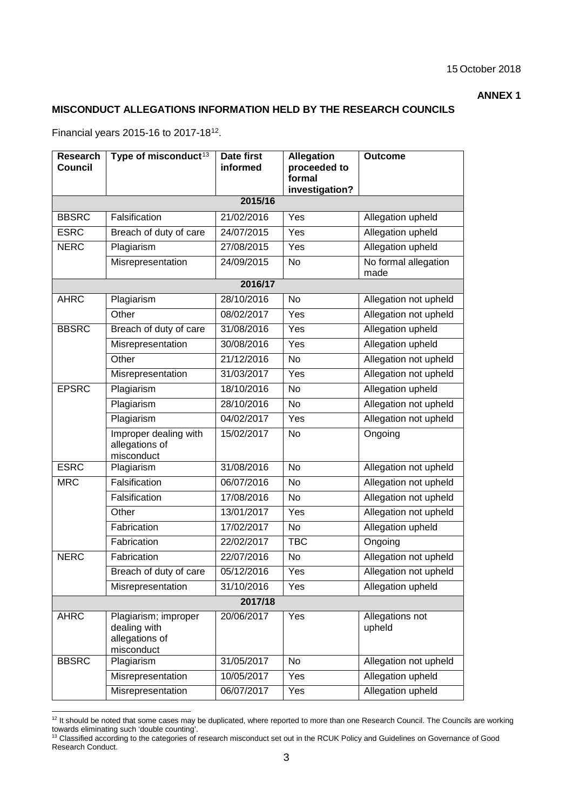#### **ANNEX 1**

## **MISCONDUCT ALLEGATIONS INFORMATION HELD BY THE RESEARCH COUNCILS**

Financial years 2015-16 to 2017-18[12](#page-2-0).

| Research<br><b>Council</b> | Type of misconduct <sup>13</sup>                                     | <b>Date first</b><br>informed | <b>Allegation</b><br>proceeded to | <b>Outcome</b>               |  |  |
|----------------------------|----------------------------------------------------------------------|-------------------------------|-----------------------------------|------------------------------|--|--|
|                            |                                                                      |                               | formal<br>investigation?          |                              |  |  |
| 2015/16                    |                                                                      |                               |                                   |                              |  |  |
| <b>BBSRC</b>               | Falsification                                                        | 21/02/2016                    | Yes                               | Allegation upheld            |  |  |
| <b>ESRC</b>                | Breach of duty of care                                               | 24/07/2015                    | Yes                               | Allegation upheld            |  |  |
| <b>NERC</b>                | Plagiarism                                                           | 27/08/2015                    | Yes                               | Allegation upheld            |  |  |
|                            | Misrepresentation                                                    | 24/09/2015                    | No                                | No formal allegation<br>made |  |  |
| 2016/17                    |                                                                      |                               |                                   |                              |  |  |
| <b>AHRC</b>                | Plagiarism                                                           | 28/10/2016                    | <b>No</b>                         | Allegation not upheld        |  |  |
|                            | Other                                                                | 08/02/2017                    | Yes                               | Allegation not upheld        |  |  |
| <b>BBSRC</b>               | Breach of duty of care                                               | 31/08/2016                    | Yes                               | Allegation upheld            |  |  |
|                            | Misrepresentation                                                    | 30/08/2016                    | Yes                               | Allegation upheld            |  |  |
|                            | Other                                                                | 21/12/2016                    | <b>No</b>                         | Allegation not upheld        |  |  |
|                            | Misrepresentation                                                    | 31/03/2017                    | Yes                               | Allegation not upheld        |  |  |
| <b>EPSRC</b>               | Plagiarism                                                           | 18/10/2016                    | <b>No</b>                         | Allegation upheld            |  |  |
|                            | Plagiarism                                                           | 28/10/2016                    | <b>No</b>                         | Allegation not upheld        |  |  |
|                            | Plagiarism                                                           | 04/02/2017                    | Yes                               | Allegation not upheld        |  |  |
|                            | Improper dealing with<br>allegations of<br>misconduct                | 15/02/2017                    | <b>No</b>                         | Ongoing                      |  |  |
| <b>ESRC</b>                | Plagiarism                                                           | 31/08/2016                    | <b>No</b>                         | Allegation not upheld        |  |  |
| <b>MRC</b>                 | Falsification                                                        | 06/07/2016                    | <b>No</b>                         | Allegation not upheld        |  |  |
|                            | Falsification                                                        | 17/08/2016                    | <b>No</b>                         | Allegation not upheld        |  |  |
|                            | Other                                                                | 13/01/2017                    | Yes                               | Allegation not upheld        |  |  |
|                            | Fabrication                                                          | 17/02/2017                    | <b>No</b>                         | Allegation upheld            |  |  |
|                            | Fabrication                                                          | 22/02/2017                    | <b>TBC</b>                        | Ongoing                      |  |  |
| <b>NERC</b>                | Fabrication                                                          | 22/07/2016                    | <b>No</b>                         | Allegation not upheld        |  |  |
|                            | Breach of duty of care                                               | 05/12/2016                    | Yes                               | Allegation not upheld        |  |  |
|                            | Misrepresentation                                                    | 31/10/2016                    | Yes                               | Allegation upheld            |  |  |
| 2017/18                    |                                                                      |                               |                                   |                              |  |  |
| <b>AHRC</b>                | Plagiarism; improper<br>dealing with<br>allegations of<br>misconduct | 20/06/2017                    | Yes                               | Allegations not<br>upheld    |  |  |
| <b>BBSRC</b>               | Plagiarism                                                           | 31/05/2017                    | <b>No</b>                         | Allegation not upheld        |  |  |
|                            | Misrepresentation                                                    | 10/05/2017                    | Yes                               | Allegation upheld            |  |  |
|                            | Misrepresentation                                                    | 06/07/2017                    | Yes                               | Allegation upheld            |  |  |

<sup>12</sup> It should be noted that some cases may be duplicated, where reported to more than one Research Council. The Councils are working

<span id="page-2-1"></span><span id="page-2-0"></span>towards eliminating such 'double counting'.<br><sup>13</sup> Classified according to the categories of research misconduct set out in the RCUK Policy and Guidelines on Governance of Good Research Conduct.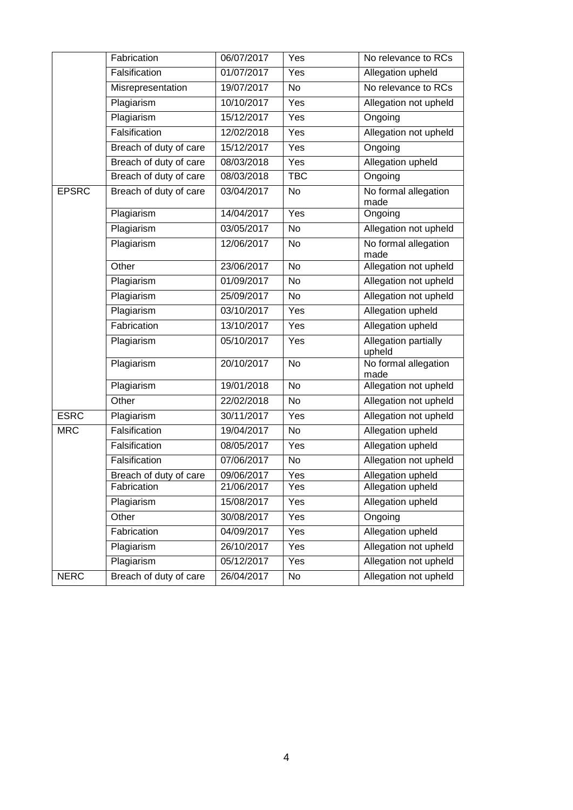|              | Fabrication            | 06/07/2017 | Yes        | No relevance to RCs                   |
|--------------|------------------------|------------|------------|---------------------------------------|
|              | Falsification          | 01/07/2017 | Yes        | Allegation upheld                     |
|              | Misrepresentation      | 19/07/2017 | No         | No relevance to RCs                   |
|              | Plagiarism             | 10/10/2017 | Yes        | Allegation not upheld                 |
|              | Plagiarism             | 15/12/2017 | Yes        | Ongoing                               |
|              | Falsification          | 12/02/2018 | Yes        | Allegation not upheld                 |
|              | Breach of duty of care | 15/12/2017 | Yes        | Ongoing                               |
|              | Breach of duty of care | 08/03/2018 | Yes        | Allegation upheld                     |
|              | Breach of duty of care | 08/03/2018 | <b>TBC</b> | Ongoing                               |
| <b>EPSRC</b> | Breach of duty of care | 03/04/2017 | No         | No formal allegation<br>made          |
|              | Plagiarism             | 14/04/2017 | Yes        | Ongoing                               |
|              | Plagiarism             | 03/05/2017 | <b>No</b>  | Allegation not upheld                 |
|              | Plagiarism             | 12/06/2017 | No         | No formal allegation<br>made          |
|              | Other                  | 23/06/2017 | No         | Allegation not upheld                 |
|              | Plagiarism             | 01/09/2017 | No         | Allegation not upheld                 |
|              | Plagiarism             | 25/09/2017 | No         | Allegation not upheld                 |
|              | Plagiarism             | 03/10/2017 | Yes        | Allegation upheld                     |
|              | Fabrication            | 13/10/2017 | Yes        | Allegation upheld                     |
|              | Plagiarism             | 05/10/2017 | Yes        | <b>Allegation partially</b><br>upheld |
|              | Plagiarism             | 20/10/2017 | No         | No formal allegation<br>made          |
|              | Plagiarism             | 19/01/2018 | <b>No</b>  | Allegation not upheld                 |
|              | Other                  | 22/02/2018 | No         | Allegation not upheld                 |
| <b>ESRC</b>  | Plagiarism             | 30/11/2017 | Yes        | Allegation not upheld                 |
| <b>MRC</b>   | Falsification          | 19/04/2017 | No         | Allegation upheld                     |
|              | Falsification          | 08/05/2017 | Yes        | Allegation upheld                     |
|              | Falsification          | 07/06/2017 | No         | Allegation not upheld                 |
|              | Breach of duty of care | 09/06/2017 | Yes        | Allegation upheld                     |
|              | Fabrication            | 21/06/2017 | Yes        | Allegation upheld                     |
|              | Plagiarism             | 15/08/2017 | Yes        | Allegation upheld                     |
|              | Other                  | 30/08/2017 | Yes        | Ongoing                               |
|              | Fabrication            | 04/09/2017 | Yes        | Allegation upheld                     |
|              | Plagiarism             | 26/10/2017 | Yes        | Allegation not upheld                 |
|              | Plagiarism             | 05/12/2017 | Yes        | Allegation not upheld                 |
| <b>NERC</b>  | Breach of duty of care | 26/04/2017 | No         | Allegation not upheld                 |